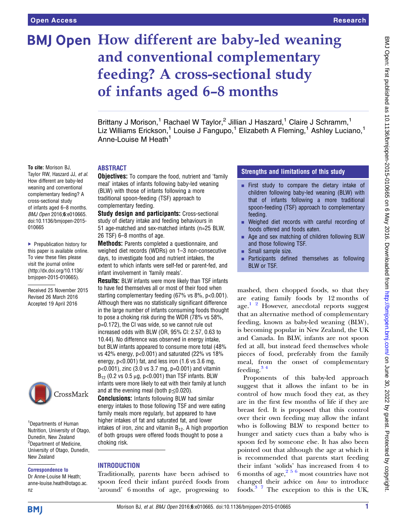To cite: Morison BJ, Taylor RW, Haszard JJ, et al. How different are baby-led weaning and conventional complementary feeding? A cross-sectional study of infants aged 6–8 months. BMJ Open 2016;6:e010665. doi:10.1136/bmjopen-2015-

▶ Prepublication history for this paper is available online. To view these files please visit the journal online [\(http://dx.doi.org/10.1136/](http://dx.doi.org/10.1136/bmjopen-2015-010665) [bmjopen-2015-010665](http://dx.doi.org/10.1136/bmjopen-2015-010665)). Received 25 November 2015 Revised 26 March 2016 Accepted 19 April 2016

010665

# BMJ Open How different are baby-led weaning and conventional complementary feeding? A cross-sectional study of infants aged 6–8 months

Brittany J Morison,<sup>1</sup> Rachael W Taylor,<sup>2</sup> Jillian J Haszard,<sup>1</sup> Claire J Schramm,<sup>1</sup> Liz Williams Erickson,<sup>1</sup> Louise J Fangupo,<sup>1</sup> Elizabeth A Fleming,<sup>1</sup> Ashley Luciano,<sup>1</sup> Anne-Louise M Heath<sup>1</sup>

#### ABSTRACT

**Objectives:** To compare the food, nutrient and 'family meal' intakes of infants following baby-led weaning (BLW) with those of infants following a more traditional spoon-feeding (TSF) approach to complementary feeding.

Study design and participants: Cross-sectional study of dietary intake and feeding behaviours in 51 age-matched and sex-matched infants (n=25 BLW, 26 TSF) 6–8 months of age.

Methods: Parents completed a questionnaire, and weighed diet records (WDRs) on 1–3 non-consecutive days, to investigate food and nutrient intakes, the extent to which infants were self-fed or parent-fed, and infant involvement in 'family meals'.

Results: BLW infants were more likely than TSF infants to have fed themselves all or most of their food when starting complementary feeding (67% vs 8%, p<0.001). Although there was no statistically significant difference in the large number of infants consuming foods thought to pose a choking risk during the WDR (78% vs 58%, p=0.172), the CI was wide, so we cannot rule out increased odds with BLW (OR, 95% CI: 2.57, 0.63 to 10.44). No difference was observed in energy intake, but BLW infants appeared to consume more total (48% vs 42% energy, p<0.001) and saturated (22% vs 18% energy, p<0.001) fat, and less iron (1.6 vs 3.6 mg, p<0.001), zinc (3.0 vs 3.7 mg, p=0.001) and vitamin  $B_{12}$  (0.2 vs 0.5 μg, p<0.001) than TSF infants. BLW infants were more likely to eat with their family at lunch and at the evening meal (both  $p \le 0.020$ ).

Conclusions: Infants following BLW had similar energy intakes to those following TSF and were eating family meals more regularly, but appeared to have higher intakes of fat and saturated fat, and lower intakes of iron, zinc and vitamin  $B_{12}$ . A high proportion of both groups were offered foods thought to pose a choking risk.

#### **INTRODUCTION**

Traditionally, parents have been advised to spoon feed their infant puréed foods from 'around' 6 months of age, progressing to

# Strengths and limitations of this study

- $\blacksquare$  First study to compare the dietary intake of children following baby-led weaning (BLW) with that of infants following a more traditional spoon-feeding (TSF) approach to complementary feeding.
- Weighed diet records with careful recording of foods offered and foods eaten.
- Age and sex matching of children following BLW and those following TSF.
- Small sample size.
- **EXECUTE:** Participants defined themselves as following BLW or TSF.

mashed, then chopped foods, so that they are eating family foods by 12 months of age. $1^2$  However, anecdotal reports suggest that an alternative method of complementary feeding, known as baby-led weaning (BLW), is becoming popular in New Zealand, the UK and Canada. In BLW, infants are not spoon fed at all, but instead feed themselves whole pieces of food, preferably from the family meal, from the onset of complementary feeding. $34$ 

Proponents of this baby-led approach suggest that it allows the infant to be in control of how much food they eat, as they are in the first few months of life if they are breast fed. It is proposed that this control over their own feeding may allow the infant who is following BLW to respond better to hunger and satiety cues than a baby who is spoon fed by someone else. It has also been pointed out that although the age at which it is recommended that parents start feeding their infant 'solids' has increased from 4 to 6 months of age,  $2^{56}$  most countries have not changed their advice on how to introduce foods.[3 7](#page-10-0) The exception to this is the UK,

**BMI** 

nz

New Zealand

Correspondence to Dr Anne-Louise M Heath; anne-louise.heath@otago.ac.

<sup>1</sup>Departments of Human Nutrition, University of Otago, Dunedin, New Zealand <sup>2</sup>Department of Medicine, University of Otago, Dunedin,

CrossMark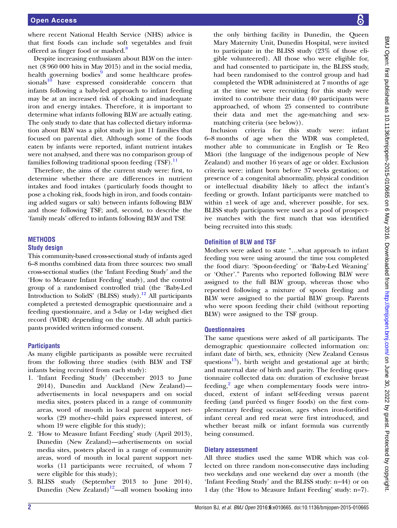where recent National Health Service (NHS) advice is that first foods can include soft vegetables and fruit offered as finger food or mashed.<sup>[8](#page-10-0)</sup>

Despite increasing enthusiasm about BLW on the internet (8 960 000 hits in May 2015) and in the social media, health governing bodies $9$  and some healthcare profes- $sionals<sup>10</sup>$  $sionals<sup>10</sup>$  $sionals<sup>10</sup>$  have expressed considerable concern that infants following a baby-led approach to infant feeding may be at an increased risk of choking and inadequate iron and energy intakes. Therefore, it is important to determine what infants following BLW are actually eating. The only study to date that has collected dietary information about BLW was a pilot study in just 11 families that focused on parental diet. Although some of the foods eaten by infants were reported, infant nutrient intakes were not analysed, and there was no comparison group of families following traditional spoon feeding  $(TSF)$ .<sup>[11](#page-10-0)</sup>

Therefore, the aims of the current study were: first, to determine whether there are differences in nutrient intakes and food intakes (particularly foods thought to pose a choking risk, foods high in iron, and foods containing added sugars or salt) between infants following BLW and those following TSF; and, second, to describe the 'family meals' offered to infants following BLW and TSF.

# **METHODS** Study design

This community-based cross-sectional study of infants aged 6–8 months combined data from three sources: two small cross-sectional studies (the 'Infant Feeding Study' and the 'How to Measure Infant Feeding' study), and the control group of a randomised controlled trial (the 'Baby-Led Introduction to SolidS' (BLISS) study).<sup>[12](#page-10-0)</sup> All participants completed a pretested demographic questionnaire and a feeding questionnaire, and a 3-day or 1-day weighed diet record (WDR) depending on the study. All adult participants provided written informed consent.

# **Participants**

As many eligible participants as possible were recruited from the following three studies (with BLW and TSF infants being recruited from each study):

- 1. 'Infant Feeding Study' (December 2013 to June 2014), Dunedin and Auckland (New Zealand) advertisements in local newspapers and on social media sites, posters placed in a range of community areas, word of mouth in local parent support networks (29 mother–child pairs expressed interest, of whom 19 were eligible for this study);
- 2. 'How to Measure Infant Feeding' study (April 2013), Dunedin (New Zealand)—advertisements on social media sites, posters placed in a range of community areas, word of mouth in local parent support networks (11 participants were recruited, of whom 7 were eligible for this study);
- 3. BLISS study (September 2013 to June 2014), Dunedin (New Zealand) $12$ —all women booking into

the only birthing facility in Dunedin, the Queen Mary Maternity Unit, Dunedin Hospital, were invited to participate in the BLISS study (23% of those eligible volunteered). All those who were eligible for, and had consented to participate in, the BLISS study, had been randomised to the control group and had completed the WDR administered at 7 months of age at the time we were recruiting for this study were invited to contribute their data (40 participants were approached, of whom 25 consented to contribute their data and met the age-matching and sexmatching criteria (see below)).

Inclusion criteria for this study were: infant 6–8 months of age when the WDR was completed, mother able to communicate in English or Te Reo Māori (the language of the indigenous people of New Zealand) and mother 16 years of age or older. Exclusion criteria were: infant born before 37 weeks gestation; or presence of a congenital abnormality, physical condition or intellectual disability likely to affect the infant's feeding or growth. Infant participants were matched to within ±1 week of age and, wherever possible, for sex. BLISS study participants were used as a pool of prospective matches with the first match that was identified being recruited into this study.

# Definition of BLW and TSF

Mothers were asked to state "…what approach to infant feeding you were using around the time you completed the food diary: 'Spoon-feeding' or 'Baby-Led Weaning' or 'Other'." Parents who reported following BLW were assigned to the full BLW group, whereas those who reported following a mixture of spoon feeding and BLW were assigned to the partial BLW group. Parents who were spoon feeding their child (without reporting BLW) were assigned to the TSF group.

# **Questionnaires**

The same questions were asked of all participants. The demographic questionnaire collected information on: infant date of birth, sex, ethnicity (New Zealand Census questions<sup>13</sup>), birth weight and gestational age at birth; and maternal date of birth and parity. The feeding questionnaire collected data on: duration of exclusive breast feeding, $\frac{2}{3}$  $\frac{2}{3}$  $\frac{2}{3}$  age when complementary foods were introduced, extent of infant self-feeding versus parent feeding (and puréed vs finger foods) on the first complementary feeding occasion, ages when iron-fortified infant cereal and red meat were first introduced, and whether breast milk or infant formula was currently being consumed.

# Dietary assessment

All three studies used the same WDR which was collected on three random non-consecutive days including two weekdays and one weekend day over a month (the 'Infant Feeding Study' and the BLISS study: n=44) or on 1 day (the 'How to Measure Infant Feeding' study: n=7).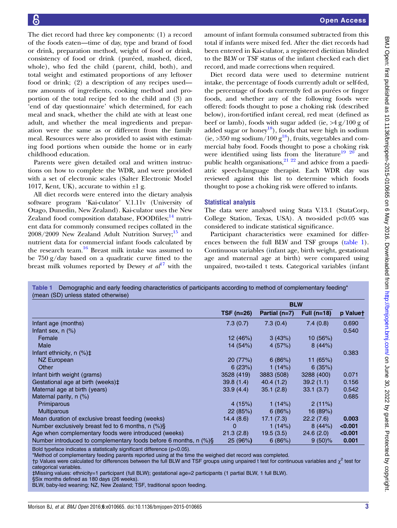<span id="page-2-0"></span>The diet record had three key components: (1) a record of the foods eaten—time of day, type and brand of food or drink, preparation method, weight of food or drink, consistency of food or drink (puréed, mashed, diced, whole), who fed the child (parent, child, both), and total weight and estimated proportions of any leftover food or drink; (2) a description of any recipes used raw amounts of ingredients, cooking method and proportion of the total recipe fed to the child and (3) an 'end of day questionnaire' which determined, for each meal and snack, whether the child ate with at least one adult, and whether the meal ingredients and preparation were the same as or different from the family meal. Resources were also provided to assist with estimating food portions when outside the home or in early childhood education.

Parents were given detailed oral and written instructions on how to complete the WDR, and were provided with a set of electronic scales (Salter Electronic Model 1017, Kent, UK), accurate to within  $\pm 1$  g.

All diet records were entered into the dietary analysis software program 'Kai-culator' V.1.11v (University of Otago, Dunedin, New Zealand). Kai-culator uses the New Zealand food composition database,  $FOOD$  nutrient data for commonly consumed recipes collated in the  $2008/2009$  New Zealand Adult Nutrition Survey;<sup>[15](#page-10-0)</sup> and nutrient data for commercial infant foods calculated by the research team. $16$  Breast milk intake was assumed to be 750 g/day based on a quadratic curve fitted to the breast milk volumes reported by Dewey et  $al^{17}$  $al^{17}$  $al^{17}$  with the

amount of infant formula consumed subtracted from this total if infants were mixed fed. After the diet records had been entered in Kai-culator, a registered dietitian blinded to the BLW or TSF status of the infant checked each diet record, and made corrections when required.

Diet record data were used to determine nutrient intake, the percentage of foods currently adult or self-fed, the percentage of foods currently fed as purées or finger foods, and whether any of the following foods were offered: foods thought to pose a choking risk (described below), iron-fortified infant cereal, red meat (defined as beef or lamb), foods with sugar added (ie,  $>4 g/100 g$  of added sugar or honey<sup>18</sup>), foods that were high in sodium (ie,  $>350$  mg sodium/100 g<sup>18</sup>), fruits, vegetables and commercial baby food. Foods thought to pose a choking risk were identified using lists from the literature<sup>19 20</sup> and public health organisations, $2^{122}$  and advice from a paediatric speech-language therapist. Each WDR day was reviewed against this list to determine which foods thought to pose a choking risk were offered to infants.

#### Statistical analysis

The data were analysed using Stata V.13.1 (StataCorp, College Station, Texas, USA). A two-sided p<0.05 was considered to indicate statistical significance.

Participant characteristics were examined for differences between the full BLW and TSF groups (table 1). Continuous variables (infant age, birth weight, gestational age and maternal age at birth) were compared using unpaired, two-tailed t tests. Categorical variables (infant

Table 1 Demographic and early feeding characteristics of participants according to method of complementary feeding\* (mean (SD) unless stated otherwise)

|                                                                  | <b>BLW</b> |               |               |          |
|------------------------------------------------------------------|------------|---------------|---------------|----------|
|                                                                  | TSF (n=26) | Partial (n=7) | Full $(n=18)$ | p Valuet |
| Infant age (months)                                              | 7.3(0.7)   | 7.3(0.4)      | 7.4(0.8)      | 0.690    |
| Infant sex, $n$ $(\%)$                                           |            |               |               | 0.540    |
| Female                                                           | 12 (46%)   | 3(43%)        | 10(56%)       |          |
| Male                                                             | 14 (54%)   | 4(57%)        | 8(44%)        |          |
| Infant ethnicity, $n$ (%) $\ddagger$                             |            |               |               | 0.383    |
| NZ European                                                      | 20(77%)    | 6(86%)        | 11 $(65%)$    |          |
| Other                                                            | 6(23%)     | 1(14%)        | 6(35%)        |          |
| Infant birth weight (grams)                                      | 3528 (419) | 3883 (508)    | 3288 (400)    | 0.071    |
| Gestational age at birth (weeks)‡                                | 39.8(1.4)  | 40.4 (1.2)    | 39.2(1.1)     | 0.156    |
| Maternal age at birth (years)                                    | 33.9(4.4)  | 35.1(2.8)     | 33.1(3.7)     | 0.542    |
| Maternal parity, $n$ (%)                                         |            |               |               | 0.685    |
| Primiparous                                                      | 4(15%)     | 1(14%)        | 2(11%)        |          |
| <b>Multiparous</b>                                               | 22(85%)    | 6(86%)        | 16(89%)       |          |
| Mean duration of exclusive breast feeding (weeks)                | 14.4(8.6)  | 17.1(7.3)     | 22.2(7.6)     | 0.003    |
| Number exclusively breast fed to 6 months, $n$ (%)§              | $\Omega$   | 1(14%)        | 8(44%)        | < 0.001  |
| Age when complementary foods were introduced (weeks)             | 21.3(2.8)  | 19.5(3.5)     | 24.6(2.0)     | < 0.001  |
| Number introduced to complementary foods before 6 months, n (%)§ | 25(96%)    | 6(86%)        | $9(50)\%$     | 0.001    |

Bold typeface indicates a statistically significant difference (p<0.05).

\*Method of complementary feeding parents reported using at the time the weighed diet record was completed.

 $\dagger$ p Values were calculated for differences between the full BLW and TSF groups using unpaired t test for continuous variables and  $\chi^2$  test for categorical variables.

‡Missing values: ethnicity=1 participant (full BLW); gestational age=2 participants (1 partial BLW, 1 full BLW).

§Six months defined as 180 days (26 weeks).

BLW, baby-led weaning; NZ, New Zealand; TSF, traditional spoon feeding.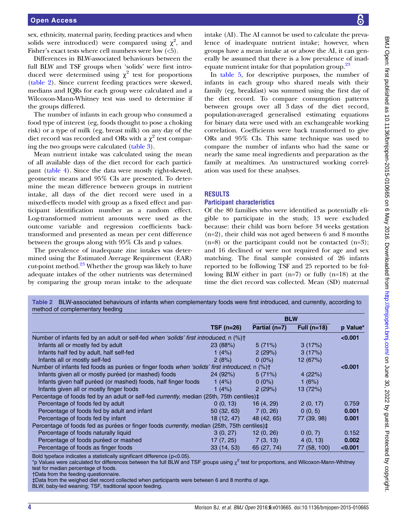<span id="page-3-0"></span>sex, ethnicity, maternal parity, feeding practices and when solids were introduced) were compared using  $\chi^2$ , and Fisher's exact tests where cell numbers were low  $(5)$ .

Differences in BLW-associated behaviours between the full BLW and TSF groups when 'solids' were first introduced were determined using  $\chi^2$  test for proportions (table 2). Since current feeding practices were skewed, medians and IQRs for each group were calculated and a Wilcoxon-Mann-Whitney test was used to determine if the groups differed.

The number of infants in each group who consumed a food type of interest (eg, foods thought to pose a choking risk) or a type of milk (eg, breast milk) on any day of the diet record was recorded and ORs with a  $\chi^2$  test comparing the two groups were calculated ([table 3\)](#page-4-0).

Mean nutrient intake was calculated using the mean of all available days of the diet record for each participant [\(table 4](#page-5-0)). Since the data were mostly right-skewed, geometric means and 95% CIs are presented. To determine the mean difference between groups in nutrient intake, all days of the diet record were used in a mixed-effects model with group as a fixed effect and participant identification number as a random effect. Log-transformed nutrient amounts were used as the outcome variable and regression coefficients backtransformed and presented as mean per cent difference between the groups along with 95% CIs and p values.

The prevalence of inadequate zinc intakes was determined using the Estimated Average Requirement (EAR) cut-point method. $^{23}$  $^{23}$  $^{23}$  Whether the group was likely to have adequate intakes of the other nutrients was determined by comparing the group mean intake to the adequate

intake (AI). The AI cannot be used to calculate the prevalence of inadequate nutrient intake; however, when groups have a mean intake at or above the AI, it can generally be assumed that there is a low prevalence of inad-equate nutrient intake for that population group.<sup>[23](#page-10-0)</sup>

In [table 5](#page-6-0), for descriptive purposes, the number of infants in each group who shared meals with their family (eg, breakfast) was summed using the first day of the diet record. To compare consumption patterns between groups over all 3 days of the diet record, population-averaged generalised estimating equations for binary data were used with an exchangeable working correlation. Coefficients were back transformed to give ORs and 95% CIs. This same technique was used to compare the number of infants who had the same or nearly the same meal ingredients and preparation as the family at mealtimes. An unstructured working correlation was used for these analyses.

# RESULTS

# Participant characteristics

Of the 80 families who were identified as potentially eligible to participate in the study, 13 were excluded because: their child was born before 34 weeks gestation (n=2), their child was not aged between 6 and 8 months  $(n=8)$  or the participant could not be contacted  $(n=3)$ ; and 16 declined or were not required for age and sex matching. The final sample consisted of 26 infants reported to be following TSF and 25 reported to be following BLW either in part (n=7) or fully (n=18) at the time the diet record was collected. Mean (SD) maternal

|                                                                                                          |             | <b>BLW</b>      |               |          |
|----------------------------------------------------------------------------------------------------------|-------------|-----------------|---------------|----------|
|                                                                                                          | $TSF(n=26)$ | Partial $(n=7)$ | Full $(n=18)$ | p Value* |
| Number of infants fed by an adult or self-fed <i>when 'solids' first introduced</i> , n (%) <sup>+</sup> |             |                 |               | < 0.001  |
| Infants all or mostly fed by adult                                                                       | 23(88%)     | 5(71%)          | 3(17%)        |          |
| Infants half fed by adult, half self-fed                                                                 | 1 $(4%)$    | 2(29%)          | 3(17%)        |          |
| Infants all or mostly self-fed                                                                           | 2(8%)       | $0(0\%)$        | 12(67%)       |          |
| Number of infants fed foods as purées or finger foods when 'solids' first introduced, n (%)†             |             |                 |               | < 0.001  |
| Infants given all or mostly puréed (or mashed) foods                                                     | 24(92%)     | 5(71%)          | 4(22%)        |          |
| Infants given half puréed (or mashed) foods, half finger foods                                           | 1 $(4%)$    | $0(0\%)$        | 1 $(6%)$      |          |
| Infants given all or mostly finger foods                                                                 | 1 $(4%)$    | 2(29%)          | 13(72%)       |          |
| Percentage of foods fed by an adult or self-fed <i>currently</i> , median (25th, 75th centiles)‡         |             |                 |               |          |
| Percentage of foods fed by adult                                                                         | 0(0, 13)    | 16 (4, 29)      | 2(0, 17)      | 0.759    |
| Percentage of foods fed by adult and infant                                                              | 50(32, 63)  | 7(0, 26)        | 0(0, 5)       | 0.001    |
| Percentage of foods fed by infant                                                                        | 18 (12, 47) | 48 (42, 65)     | 77 (39, 98)   | 0.001    |
| Percentage of foods fed as purées or finger foods <i>currently</i> , median (25th, 75th centiles)‡       |             |                 |               |          |
| Percentage of foods naturally liquid                                                                     | 3(0, 27)    | 12(0, 26)       | 0(0, 7)       | 0.152    |
| Percentage of foods puréed or mashed                                                                     | 17 (7, 25)  | 7(3, 13)        | 4(0, 13)      | 0.002    |
| Percentage of foods as finger foods                                                                      | 33(14, 53)  | 65 (27, 74)     | 77 (58, 100)  | < 0.001  |

Table 2 BLW-associated behaviours of infants when complementary foods were first introduced, and currently, according to

Bold typeface indicates a statistically significant difference (p<0.05).

\*p Values were calculated for differences between the full BLW and TSF groups using  $\chi^2$  test for proportions, and Wilcoxon-Mann-Whitney test for median percentage of foods.

†Data from the feeding questionnaire.

‡Data from the weighed diet record collected when participants were between 6 and 8 months of age.

BLW, baby-led weaning; TSF, traditional spoon feeding.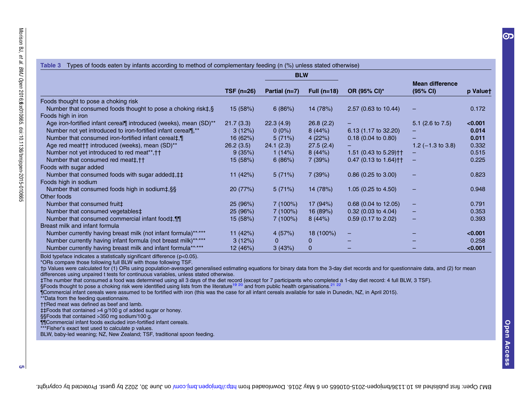<span id="page-4-0"></span>

|                                                                        | <b>BLW</b> |                 |               |                                   |                                    |          |
|------------------------------------------------------------------------|------------|-----------------|---------------|-----------------------------------|------------------------------------|----------|
|                                                                        | TSF (n=26) | Partial $(n=7)$ | Full $(n=18)$ | OR (95% CI)*                      | <b>Mean difference</b><br>(95% CI) | p Valuet |
| Foods thought to pose a choking risk                                   |            |                 |               |                                   |                                    |          |
| Number that consumed foods thought to pose a choking risk $\ddagger$ . | 15(58%)    | 6(86%)          | 14 (78%)      | $2.57$ (0.63 to 10.44)            |                                    | 0.172    |
| Foods high in iron                                                     |            |                 |               |                                   |                                    |          |
| Age iron-fortified infant cereal¶ introduced (weeks), mean (SD)**      | 21.7(3.3)  | 22.3(4.9)       | 26.8(2.2)     |                                   | 5.1 $(2.6 \text{ to } 7.5)$        | < 0.001  |
| Number not yet introduced to iron-fortified infant cereal¶,**          | 3(12%)     | $0(0\%)$        | 8(44%)        | 6.13 (1.17 to 32.20)              |                                    | 0.014    |
| Number that consumed iron-fortified infant cereal‡,¶                   | 16 (62%)   | 5(71%)          | 4(22%)        | $0.18$ (0.04 to 0.80)             |                                    | 0.011    |
| Age red meat t introduced (weeks), mean (SD)**                         | 26.2(3.5)  | 24.1(2.3)       | 27.5(2.4)     |                                   | 1.2 $(-1.3 \text{ to } 3.8)$       | 0.332    |
| Number not yet introduced to red meat**, † †                           | 9(35%)     | 1(14%)          | 8(44%)        | 1.51 (0.43 to 5.29) <sup>++</sup> |                                    | 0.515    |
| Number that consumed red meat‡,††                                      | 15(58%)    | 6(86%)          | 7 (39%)       | 0.47 (0.13 to 1.64) † †           | -                                  | 0.225    |
| Foods with sugar added                                                 |            |                 |               |                                   |                                    |          |
| Number that consumed foods with sugar added‡, ‡‡                       | 11 $(42%)$ | 5(71%)          | 7 (39%)       | $0.86$ (0.25 to 3.00)             |                                    | 0.823    |
| Foods high in sodium                                                   |            |                 |               |                                   |                                    |          |
| Number that consumed foods high in sodium‡, §§                         | 20(77%)    | 5(71%)          | 14 (78%)      | 1.05 $(0.25$ to 4.50)             |                                    | 0.948    |
| Other foods                                                            |            |                 |               |                                   |                                    |          |
| Number that consumed fruit#                                            | 25(96%)    | 7(100%)         | 17 (94%)      | $0.68$ (0.04 to 12.05)            | -                                  | 0.791    |
| Number that consumed vegetables‡                                       | 25(96%)    | 7(100%)         | 16 (89%)      | $0.32$ (0.03 to 4.04)             |                                    | 0.353    |
| Number that consumed commercial infant food‡, 11                       | 15(58%)    | 7(100%)         | 8(44%)        | $0.59$ (0.17 to 2.02)             |                                    | 0.393    |
| Breast milk and infant formula                                         |            |                 |               |                                   |                                    |          |
| Number currently having breast milk (not infant formula)******         | 11 (42%)   | 4(57%)          | 18 (100%)     | -                                 |                                    | < 0.001  |
| Number currently having infant formula (not breast milk)******         | 3(12%)     | 0               | 0             |                                   |                                    | 0.258    |
| Number currently having breast milk and infant formula**,***           | 12 (46%)   | 3(43%)          | 0             |                                   |                                    | < 0.001  |

Bold typeface indicates <sup>a</sup> statistically significant difference (p<0.05).

\*ORs compare those following full BLW with those following TSF.

†p Values were calculated for (1) ORs using population-averaged generalised estimating equations for binary data from the 3-day diet records and for questionnaire data, and (2) for mean differences using unpaired t tests for continuous variables, unless stated otherwise.

‡The number that consumed <sup>a</sup> food was determined using all 3 days of the diet record (except for 7 participants who completed <sup>a</sup> 1-day diet record: 4 full BLW, 3 TSF).

§Foods thought to pose a choking risk were identified using lists from the literature<sup>[19](#page-10-0) [20](#page-10-0)</sup> and from public health organisations.<sup>[21](#page-10-0) [22](#page-10-0)</sup>

¶Commercial infant cereals were assumed to be fortified with iron (this was the case for all infant cereals available for sale in Dunedin, NZ, in April 2015).

\*\*Data from the feeding questionnaire.

††Red meat was defined as beef and lamb.

‡‡Foods that contained >4 g/100 g of added sugar or honey.

§§Foods that contained >350 mg sodium/100 g.

¶¶Commercial infant foods excluded iron-fortified infant cereals.

\*\*\*\*Fisher's exact test used to calculate p values.

BLW, baby-led weaning; NZ, New Zealand; TSF, traditional spoon feeding.

5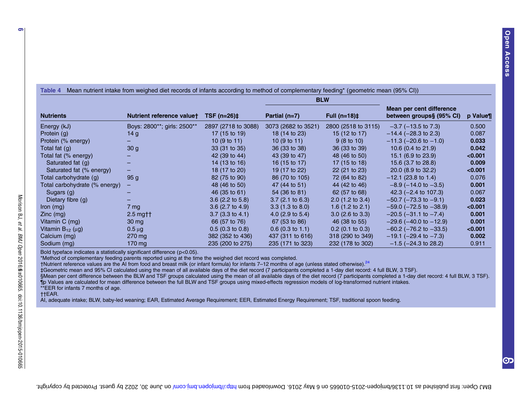| Table 4<br>Thean nutrient intake from weighed diet records of infants according to method of complementary feeding" (geometric mean (95% CI)) |                             |                            |                             |                             |                                                      |         |
|-----------------------------------------------------------------------------------------------------------------------------------------------|-----------------------------|----------------------------|-----------------------------|-----------------------------|------------------------------------------------------|---------|
|                                                                                                                                               |                             | $TSF(n=26)$ ‡              |                             | <b>BLW</b>                  |                                                      |         |
| <b>Nutrients</b>                                                                                                                              | Nutrient reference valuet   |                            | Partial (n=7)               | Full $(n=18)$ ‡             | Mean per cent difference<br>between groups§ (95% CI) | p Value |
| Energy (kJ)                                                                                                                                   | Boys: 2800**; girls: 2500** | 2897 (2718 to 3088)        | 3073 (2682 to 3521)         | 2800 (2518 to 3115)         | $-3.7$ ( $-13.5$ to 7.3)                             | 0.500   |
| Protein (g)                                                                                                                                   | 14 g                        | 17 (15 to 19)              | 18 (14 to 23)               | 15 (12 to 17)               | $-14.4$ ( $-28.3$ to 2.3)                            | 0.087   |
| Protein (% energy)                                                                                                                            |                             | 10 $(9 \text{ to } 11)$    | 10 $(9 \text{ to } 11)$     | $9(8 \text{ to } 10)$       | $-11.3$ ( $-20.6$ to $-1.0$ )                        | 0.033   |
| Total fat (g)                                                                                                                                 | 30 <sub>g</sub>             | 33 (31 to 35)              | 36 (33 to 38)               | 36 (33 to 39)               | 10.6 (0.4 to 21.9)                                   | 0.042   |
| Total fat (% energy)                                                                                                                          |                             | 42 (39 to 44)              | 43 (39 to 47)               | 48 (46 to 50)               | 15.1 (6.9 to 23.9)                                   | < 0.001 |
| Saturated fat (g)                                                                                                                             |                             | 14 (13 to 16)              | 16 (15 to 17)               | 17 (15 to 18)               | 15.6 (3.7 to 28.8)                                   | 0.009   |
| Saturated fat (% energy)                                                                                                                      |                             | 18 (17 to 20)              | 19 (17 to 22)               | 22 (21 to 23)               | 20.0 (8.9 to 32.2)                                   | < 0.001 |
| Total carbohydrate (g)                                                                                                                        | 95 g                        | 82 (75 to 90)              | 86 (70 to 105)              | 72 (64 to 82)               | $-12.1$ (23.8 to 1.4)                                | 0.076   |
| Total carbohydrate (% energy)                                                                                                                 |                             | 48 (46 to 50)              | 47 (44 to 51)               | 44 (42 to 46)               | $-8.9$ ( $-14.0$ to $-3.5$ )                         | 0.001   |
| Sugars $(q)$                                                                                                                                  |                             | 46 (35 to 61)              | 54 (36 to 81)               | 62 (57 to 68)               | 42.3 $(-2.4 \text{ to } 107.3)$                      | 0.067   |
| Dietary fibre $(q)$                                                                                                                           |                             | $3.6$ (2.2 to 5.8)         | $3.7(2.1 \text{ to } 6.3)$  | $2.0$ (1.2 to 3.4)          | $-50.7$ ( $-73.3$ to $-9.1$ )                        | 0.023   |
| $lron$ (mg)                                                                                                                                   | 7 mg                        | $3.6$ (2.7 to 4.9)         | $3.3(1.3 \text{ to } 8.0)$  | 1.6 $(1.2 \text{ to } 2.1)$ | $-59.0$ ( $-72.5$ to $-38.9$ )                       | < 0.001 |
| $Zinc$ (mg)                                                                                                                                   | $2.5$ mg $\dagger$          | $3.7(3.3 \text{ to } 4.1)$ | 4.0 $(2.9 \text{ to } 5.4)$ | $3.0$ (2.6 to $3.3$ )       | $-20.5$ ( $-31.1$ to $-7.4$ )                        | 0.001   |
| Vitamin C (mg)                                                                                                                                | $30 \,\mathrm{mg}$          | 66 (57 to 76)              | 67 (53 to 86)               | 46 (38 to 55)               | $-29.6$ ( $-40.0$ to $-12.9$ )                       | 0.001   |
| Vitamin $B_{12}$ ( $\mu$ g)                                                                                                                   | $0.5 \mu g$                 | $0.5(0.3 \text{ to } 0.8)$ | $0.6$ (0.3 to 1.1)          | $0.2$ (0.1 to 0.3)          | $-60.2$ ( $-76.2$ to $-33.5$ )                       | < 0.001 |
| Calcium (mg)                                                                                                                                  | $270 \,\mathrm{mg}$         | 382 (352 to 436)           | 437 (311 to 616)            | 318 (290 to 349)            | $-19.1$ ( $-29.4$ to $-7.3$ )                        | 0.002   |
| Sodium (mg)                                                                                                                                   | 170 mg                      | 235 (200 to 275)           | 235 (171 to 323)            | 232 (178 to 302)            | $-1.5$ ( $-24.3$ to 28.2)                            | 0.911   |

Table 4Mean nutrient intake from weighed diet records of infants according to method of complementary feeding\* (geometric mean (95% CI))

Bold typeface indicates <sup>a</sup> statistically significant difference (p<0.05).

\*Method of complementary feeding parents reported using at the time the weighed diet record was completed.

†Nutrient reference values are the AI from food and breast milk (or infant formula) for infants <sup>7</sup>–<sup>12</sup> months of age (unless stated otherwise).[24](#page-10-0)

‡Geometric mean and 95% CI calculated using the mean of all available days of the diet record (7 participants completed <sup>a</sup> 1-day diet record: 4 full BLW, 3 TSF).

§Mean per cent difference between the BLW and TSF groups calculated using the mean of all available days of the diet record (7 participants completed <sup>a</sup> 1-day diet record: 4 full BLW, 3 TSF).

¶p Values are calculated for mean difference between the full BLW and TSF groups using mixed-effects regression models of log-transformed nutrient intakes.

\*\*EER for infants 7 months of age. ††EAR.

AI, adequate intake; BLW, baby-led weaning; EAR, Estimated Average Requirement; EER, Estimated Energy Requirement; TSF, traditional spoon feeding.

<span id="page-5-0"></span>6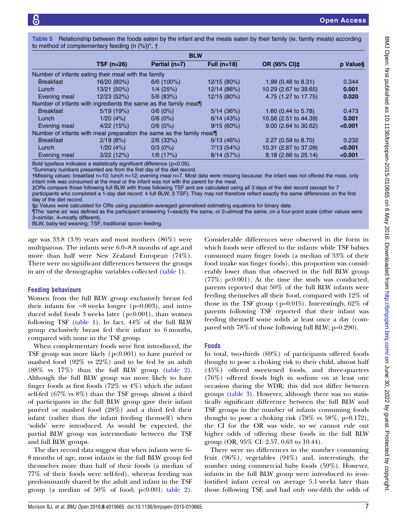<span id="page-6-0"></span>

| Table 5 Relationship between the foods eaten by the infant and the meals eaten by their family (ie, family meals) according |
|-----------------------------------------------------------------------------------------------------------------------------|
| to method of complementary feeding (n (%))*, †                                                                              |

| <b>BLW</b>                                          |                   |                                                                      |               |                       |          |
|-----------------------------------------------------|-------------------|----------------------------------------------------------------------|---------------|-----------------------|----------|
|                                                     | <b>TSF (n=26)</b> | Partial (n=7)                                                        | Full $(n=18)$ | OR (95% CI)‡          | p Value§ |
| Number of infants eating their meal with the family |                   |                                                                      |               |                       |          |
| <b>Breakfast</b>                                    | 16/20 (80%)       | $6/6$ (100%)                                                         | 12/15 (80%)   | 1.99 (0.48 to 8.31)   | 0.344    |
| Lunch                                               | 13/21 (50%)       | $1/4$ (25%)                                                          | 12/14 (86%)   | 10.29 (2.67 to 39.65) | 0.001    |
| Evening meal                                        | 12/23 (52%)       | $5/6$ (83%)                                                          | 12/15 (80%)   | 4.75 (1.27 to 17.75)  | 0.020    |
|                                                     |                   | Number of infants with ingredients the same as the family meal       |               |                       |          |
| <b>Breakfast</b>                                    | 5/19(19%)         | 0/6(0%)                                                              | 5/14(36%)     | 1.60 (0.44 to 5.78)   | 0.473    |
| Lunch                                               | 1/20(4%)          | 0/6(0%)                                                              | 6/14(43%)     | 10.56 (2.51 to 44.39) | 0.001    |
| Evening meal                                        | 4/22(15%)         | 0/6(0%)                                                              | 9/15(60%)     | 9.00 (2.64 to 30.62)  | < 0.001  |
|                                                     |                   | Number of infants with meal preparation the same as the family meal¶ |               |                       |          |
| <b>Breakfast</b>                                    | 2/19(8%)          | $2/6$ (33%)                                                          | 6/13(46%)     | 2.27 (0.59 to 8.70)   | 0.232    |
| Lunch                                               | 1/20(4%)          | $0/3(0\%)$                                                           | 7/13(54%)     | 10.31 (2.87 to 37.09) | < 0.001  |
| Evening meal                                        | 3/22(12%)         | 1/6(17%)                                                             | 8/14(57%)     | 8.18 (2.66 to 25.14)  | < 0.001  |

Bold typeface indicates a statistically significant difference (p<0.05).

\*Summary numbers presented are from the first day of the diet record.

†Missing values: breakfast n=10; lunch n=12; evening meal n=7. Most data were missing because: the infant was not offered the meal, only infant milk was consumed at the meal or the infant was not with the parent for the meal.

‡ORs compare those following full BLW with those following TSF and are calculated using all 3 days of the diet record (except for 7

participants who completed a 1-day diet record: 4 full BLW, 3 TSF). They may not therefore reflect exactly the same differences on the first day of the diet record.

§p Values were calculated for ORs using population-averaged generalised estimating equations for binary data.

¶The 'same as' was defined as the participant answering 1=exactly the same, or 2=almost the same, on a four-point scale (other values were 3=similar, 4=mostly different).

BLW, baby-led weaning; TSF, traditional spoon feeding.

age was 33.8 (3.9) years and most mothers (86%) were multiparous. The infants were 6.0–8.8 months of age and more than half were New Zealand European (74%). There were no significant differences between the groups in any of the demographic variables collected [\(table 1](#page-2-0)).

#### Feeding behaviours

Women from the full BLW group exclusively breast fed their infants for ∼8 weeks longer (p=0.003), and introduced solid foods 3 weeks later (p<0.001), than women following TSF [\(table 1\)](#page-2-0). In fact, 44% of the full BLW group exclusively breast fed their infant to 6 months, compared with none in the TSF group.

When complementary foods were first introduced, the TSF group was more likely (p<0.001) to have puréed or mashed food (92% vs 22%) and to be fed by an adult (88% vs 17%) than the full BLW group ([table 2\)](#page-3-0). Although the full BLW group was more likely to have finger foods as first foods (72% vs 4%) which the infant self-fed (67% vs 8%) than the TSF group, almost a third of participants in the full BLW group gave their infant puréed or mashed food (28%) and a third fed their infant (rather than the infant feeding themself) when 'solids' were introduced. As would be expected, the partial BLW group was intermediate between the TSF and full BLW groups.

The diet record data suggest that when infants were 6– 8 months of age, most infants in the full BLW group fed themselves more than half of their foods (a median of 77% of their foods were self-fed), whereas feeding was predominantly shared by the adult and infant in the TSF group (a median of  $50\%$  of food;  $p<0.001$ ; [table 2\)](#page-3-0).

Considerable differences were observed in the form in which foods were offered to the infants: while TSF babies consumed many finger foods (a median of 33% of their food intake was finger foods), this proportion was considerably lower than that observed in the full BLW group (77%; p<0.001). At the time the study was conducted, parents reported that 50% of the full BLW infants were feeding themselves all their food, compared with 12% of those in the TSF group (p=0.015). Interestingly, 62% of parents following TSF reported that their infant was feeding themself some solids at least once a day (compared with 78% of those following full BLW; p=0.290).

#### Foods

In total, two-thirds (69%) of participants offered foods thought to pose a choking risk to their child, almost half (45%) offered sweetened foods, and three-quarters (76%) offered foods high in sodium on at least one occasion during the WDR; this did not differ between groups [\(table 3](#page-4-0)). However, although there was no statistically significant difference between the full BLW and TSF groups in the number of infants consuming foods thought to pose a choking risk  $(78\% \text{ vs } 58\%, \text{ p=0.172})$ , the CI for the OR was wide, so we cannot rule out higher odds of offering these foods in the full BLW group (OR, 95% CI: 2.57, 0.63 to 10.44).

There were no differences in the number consuming fruit (96%), vegetables (94%) and, interestingly, the number using commercial baby foods (59%). However, infants in the full BLW group were introduced to ironfortified infant cereal on average 5.1 weeks later than those following TSF, and had only one-fifth the odds of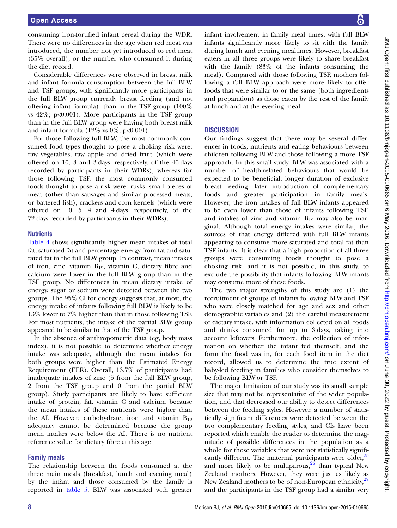consuming iron-fortified infant cereal during the WDR. There were no differences in the age when red meat was introduced, the number not yet introduced to red meat (35% overall), or the number who consumed it during the diet record.

Considerable differences were observed in breast milk and infant formula consumption between the full BLW and TSF groups, with significantly more participants in the full BLW group currently breast feeding (and not offering infant formula), than in the TSF group (100% vs  $42\%$ ;  $p<0.001$ ). More participants in the TSF group than in the full BLW group were having both breast milk and infant formula  $(12\% \text{ vs } 0\%, \text{ p<0.001}).$ 

For those following full BLW, the most commonly consumed food types thought to pose a choking risk were: raw vegetables, raw apple and dried fruit (which were offered on 10, 3 and 3 days, respectively, of the 46 days recorded by participants in their WDRs), whereas for those following TSF, the most commonly consumed foods thought to pose a risk were: rusks, small pieces of meat (other than sausages and similar processed meats, or battered fish), crackers and corn kernels (which were offered on 10, 5, 4 and 4 days, respectively, of the 72 days recorded by participants in their WDRs).

### **Nutrients**

[Table 4](#page-5-0) shows significantly higher mean intakes of total fat, saturated fat and percentage energy from fat and saturated fat in the full BLW group. In contrast, mean intakes of iron, zinc, vitamin  $B_{12}$ , vitamin C, dietary fibre and calcium were lower in the full BLW group than in the TSF group. No differences in mean dietary intake of energy, sugar or sodium were detected between the two groups. The 95% CI for energy suggests that, at most, the energy intake of infants following full BLW is likely to be 13% lower to 7% higher than that in those following TSF. For most nutrients, the intake of the partial BLW group appeared to be similar to that of the TSF group.

In the absence of anthropometric data (eg, body mass index), it is not possible to determine whether energy intake was adequate, although the mean intakes for both groups were higher than the Estimated Energy Requirement (EER). Overall, 13.7% of participants had inadequate intakes of zinc (5 from the full BLW group, 2 from the TSF group and 0 from the partial BLW group). Study participants are likely to have sufficient intake of protein, fat, vitamin C and calcium because the mean intakes of these nutrients were higher than the AI. However, carbohydrate, iron and vitamin  $B_{12}$ adequacy cannot be determined because the group mean intakes were below the AI. There is no nutrient reference value for dietary fibre at this age.

# Family meals

The relationship between the foods consumed at the three main meals (breakfast, lunch and evening meal) by the infant and those consumed by the family is reported in [table 5](#page-6-0). BLW was associated with greater

infant involvement in family meal times, with full BLW infants significantly more likely to sit with the family during lunch and evening mealtimes. However, breakfast eaters in all three groups were likely to share breakfast with the family (83% of the infants consuming the meal). Compared with those following TSF, mothers following a full BLW approach were more likely to offer foods that were similar to or the same (both ingredients and preparation) as those eaten by the rest of the family at lunch and at the evening meal.

# **DISCUSSION**

Our findings suggest that there may be several differences in foods, nutrients and eating behaviours between children following BLW and those following a more TSF approach. In this small study, BLW was associated with a number of health-related behaviours that would be expected to be beneficial: longer duration of exclusive breast feeding, later introduction of complementary foods and greater participation in family meals. However, the iron intakes of full BLW infants appeared to be even lower than those of infants following TSF, and intakes of zinc and vitamin  $B_{12}$  may also be marginal. Although total energy intakes were similar, the sources of that energy differed with full BLW infants appearing to consume more saturated and total fat than TSF infants. It is clear that a high proportion of all three groups were consuming foods thought to pose a choking risk, and it is not possible, in this study, to exclude the possibility that infants following BLW infants may consume more of these foods.

The two major strengths of this study are (1) the recruitment of groups of infants following BLW and TSF who were closely matched for age and sex and other demographic variables and (2) the careful measurement of dietary intake, with information collected on all foods and drinks consumed for up to 3 days, taking into account leftovers. Furthermore, the collection of information on whether the infant fed themself, and the form the food was in, for each food item in the diet record, allowed us to determine the true extent of baby-led feeding in families who consider themselves to be following BLW or TSF.

The major limitation of our study was its small sample size that may not be representative of the wider population, and that decreased our ability to detect differences between the feeding styles. However, a number of statistically significant differences were detected between the two complementary feeding styles, and CIs have been reported which enable the reader to determine the magnitude of possible differences in the population as a whole for those variables that were not statistically signifi-cantly different. The maternal participants were older,<sup>[25](#page-10-0)</sup> and more likely to be multiparous,  $\frac{20}{10}$  than typical New Zealand mothers. However, they were just as likely as New Zealand mothers to be of non-European ethnicity,<sup>[27](#page-10-0)</sup> and the participants in the TSF group had a similar very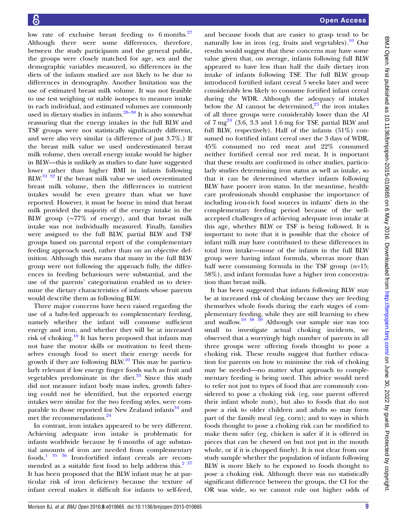low rate of exclusive breast feeding to 6 months. $27$ Although there were some differences, therefore, between the study participants and the general public, the groups were closely matched for age, sex and the demographic variables measured, so differences in the diets of the infants studied are not likely to be due to differences in demography. Another limitation was the use of estimated breast milk volume. It was not feasible to use test weighing or stable isotopes to measure intake in each individual, and estimated volumes are commonly used in dietary studies in infants. $28-30$  $28-30$  It is also somewhat reassuring that the energy intakes in the full BLW and TSF groups were not statistically significantly different, and were also very similar (a difference of just 3.7%.) If the breast milk value we used underestimated breast milk volume, then overall energy intake would be higher in BLW—this is unlikely as studies to date have suggested lower rather than higher BMI in infants following BLW.<sup>31</sup> <sup>32</sup> If the breast milk value we used overestimated breast milk volume, then the differences in nutrient intakes would be even greater than what we have reported. However, it must be borne in mind that breast milk provided the majority of the energy intake in the BLW group (∼77% of energy), and that breast milk intake was not individually measured. Finally, families were assigned to the full BLW, partial BLW and TSF groups based on parental report of the complementary feeding approach used, rather than on an objective definition. Although this means that many in the full BLW group were not following the approach fully, the differences in feeding behaviours were substantial, and the use of the parents' categorisation enabled us to determine the dietary characteristics of infants whose parents would describe them as following BLW.

Three major concerns have been raised regarding the use of a baby-led approach to complementary feeding, namely whether the infant will consume sufficient energy and iron, and whether they will be at increased risk of choking. $10$  It has been proposed that infants may not have the motor skills or motivation to feed themselves enough food to meet their energy needs for growth if they are following  $BLW<sup>10</sup>$ . This may be particularly relevant if low energy finger foods such as fruit and vegetables predominate in the diet. $33$  Since this study did not measure infant body mass index, growth faltering could not be identified, but the reported energy intakes were similar for the two feeding styles, were comparable to those reported for New Zealand infants<sup>34</sup> and met the recommendations.<sup>[24](#page-10-0)</sup>

In contrast, iron intakes appeared to be very different. Achieving adequate iron intake is problematic for infants worldwide because by 6 months of age substantial amounts of iron are needed from complementary foods. $1^{35}$  36 Iron-fortified infant cereals are recom-mended as a suitable first food to help address this.<sup>[2 37](#page-10-0)</sup> It has been proposed that the BLW infant may be at particular risk of iron deficiency because the texture of infant cereal makes it difficult for infants to self-feed,

and because foods that are easier to grasp tend to be naturally low in iron (eg, fruits and vegetables).<sup>[10](#page-10-0)</sup> Our results would suggest that these concerns may have some value given that, on average, infants following full BLW appeared to have less than half the daily dietary iron intake of infants following TSF. The full BLW group introduced fortified infant cereal 5 weeks later and were considerably less likely to consume fortified infant cereal during the WDR. Although the adequacy of intakes below the AI cannot be determined, $2^3$  the iron intakes of all three groups were considerably lower than the AI of  $7 \text{ mg}^{24}$  $7 \text{ mg}^{24}$  $7 \text{ mg}^{24}$  (3.6, 3.3 and 1.6 mg for TSF, partial BLW and full BLW, respectively). Half of the infants (51%) consumed no fortified infant cereal over the 3 days of WDR, 45% consumed no red meat and 22% consumed neither fortified cereal nor red meat. It is important that these results are confirmed in other studies, particularly studies determining iron status as well as intake, so that it can be determined whether infants following BLW have poorer iron status. In the meantime, healthcare professionals should emphasise the importance of including iron-rich food sources in infants' diets in the complementary feeding period because of the wellaccepted challenges of achieving adequate iron intake at this age, whether BLW or TSF is being followed. It is important to note that it is possible that the choice of infant milk may have contributed to these differences in total iron intake—none of the infants in the full BLW group were having infant formula, whereas more than half were consuming formula in the TSF group (n=15; 58%), and infant formulas have a higher iron concentration than breast milk.

It has been suggested that infants following BLW may be at increased risk of choking because they are feeding themselves whole foods during the early stages of complementary feeding, while they are still learning to chew and swallow.<sup>10 38 39</sup> Although our sample size was too small to investigate actual choking incidents, we observed that a worryingly high number of parents in all three groups were offering foods thought to pose a choking risk. These results suggest that further education for parents on how to minimise the risk of choking may be needed—no matter what approach to complementary feeding is being used. This advice would need to refer not just to types of food that are commonly considered to pose a choking risk (eg, one parent offered their infant whole nuts), but also to foods that do not pose a risk to older children and adults so may form part of the family meal (eg, corn); and to ways in which foods thought to pose a choking risk can be modified to make them safer (eg, chicken is safer if it is offered in pieces that can be chewed on but not put in the mouth whole, or if it is chopped finely). It is not clear from our study sample whether the population of infants following BLW is more likely to be exposed to foods thought to pose a choking risk. Although there was no statistically significant difference between the groups, the CI for the OR was wide, so we cannot rule out higher odds of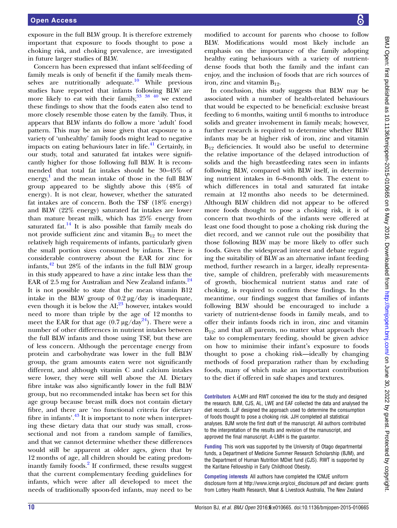exposure in the full BLW group. It is therefore extremely important that exposure to foods thought to pose a choking risk, and choking prevalence, are investigated in future larger studies of BLW.

Concern has been expressed that infant self-feeding of family meals is only of benefit if the family meals them-selves are nutritionally adequate.<sup>[10](#page-10-0)</sup> While previous studies have reported that infants following BLW are more likely to eat with their family,  $33 \times 40^{\circ}$  we extend these findings to show that the foods eaten also tend to more closely resemble those eaten by the family. Thus, it appears that BLW infants do follow a more 'adult' food pattern. This may be an issue given that exposure to a variety of 'unhealthy' family foods might lead to negative impacts on eating behaviours later in life. $41$  Certainly, in our study, total and saturated fat intakes were significantly higher for those following full BLW. It is recommended that total fat intakes should be 30–45% of energy, [1](#page-10-0) and the mean intake of those in the full BLW group appeared to be slightly above this (48% of energy). It is not clear, however, whether the saturated fat intakes are of concern. Both the TSF (18% energy) and BLW (22% energy) saturated fat intakes are lower than mature breast milk, which has 25% energy from saturated fat. $^{14}$  It is also possible that family meals do not provide sufficient zinc and vitamin  $B_{12}$  to meet the relatively high requirements of infants, particularly given the small portion sizes consumed by infants. There is considerable controversy about the EAR for zinc for infants, $42$  but  $28\%$  of the infants in the full BLW group in this study appeared to have a zinc intake less than the EAR of 2.5 mg for Australian and New Zealand infants. $^{24}$  $^{24}$  $^{24}$ It is not possible to state that the mean vitamin B12 intake in the BLW group of  $0.2 \mu$ g/day is inadequate, even though it is below the  $AI;^{23}$  $AI;^{23}$  $AI;^{23}$  however, intakes would need to more than triple by the age of 12 months to meet the EAR for that age  $(0.7 \,\mu g/day^{24})$  $(0.7 \,\mu g/day^{24})$  $(0.7 \,\mu g/day^{24})$ . There were a number of other differences in nutrient intakes between the full BLW infants and those using TSF, but these are of less concern. Although the percentage energy from protein and carbohydrate was lower in the full BLW group, the gram amounts eaten were not significantly different, and although vitamin C and calcium intakes were lower, they were still well above the AI. Dietary fibre intake was also significantly lower in the full BLW group, but no recommended intake has been set for this age group because breast milk does not contain dietary fibre, and there are 'no functional criteria for dietary fibre in infants'.<sup>[43](#page-10-0)</sup> It is important to note when interpreting these dietary data that our study was small, crosssectional and not from a random sample of families, and that we cannot determine whether these differences would still be apparent at older ages, given that by 12 months of age, all children should be eating predom-inantly family foods.<sup>[2](#page-10-0)</sup> If confirmed, these results suggest that the current complementary feeding guidelines for infants, which were after all developed to meet the needs of traditionally spoon-fed infants, may need to be

modified to account for parents who choose to follow BLW. Modifications would most likely include an emphasis on the importance of the family adopting healthy eating behaviours with a variety of nutrientdense foods that both the family and the infant can enjoy, and the inclusion of foods that are rich sources of iron, zinc and vitamin  $B_{12}$ .

In conclusion, this study suggests that BLW may be associated with a number of health-related behaviours that would be expected to be beneficial: exclusive breast feeding to 6 months, waiting until 6 months to introduce solids and greater involvement in family meals; however, further research is required to determine whether BLW infants may be at higher risk of iron, zinc and vitamin  $B_{12}$  deficiencies. It would also be useful to determine the relative importance of the delayed introduction of solids and the high breastfeeding rates seen in infants following BLW, compared with BLW itself, in determining nutrient intakes in 6–8-month olds. The extent to which differences in total and saturated fat intake remain at 12 months also needs to be determined. Although BLW children did not appear to be offered more foods thought to pose a choking risk, it is of concern that two-thirds of the infants were offered at least one food thought to pose a choking risk during the diet record, and we cannot rule out the possibility that those following BLW may be more likely to offer such foods. Given the widespread interest and debate regarding the suitability of BLW as an alternative infant feeding method, further research in a larger, ideally representative, sample of children, preferably with measurements of growth, biochemical nutrient status and rate of choking, is required to confirm these findings. In the meantime, our findings suggest that families of infants following BLW should be encouraged to include a variety of nutrient-dense foods in family meals, and to offer their infants foods rich in iron, zinc and vitamin  $B_{12}$ ; and that all parents, no matter what approach they take to complementary feeding, should be given advice on how to minimise their infant's exposure to foods thought to pose a choking risk—ideally by changing methods of food preparation rather than by excluding foods, many of which make an important contribution to the diet if offered in safe shapes and textures.

Contributors A-LMH and RWT conceived the idea for the study and designed the research. BJM, CJS, AL, LWE and EAF collected the data and analysed the diet records. LJF designed the approach used to determine the consumption of foods thought to pose a choking risk. JJH completed all statistical analyses. BJM wrote the first draft of the manuscript. All authors contributed to the interpretation of the results and revision of the manuscript, and approved the final manuscript. A-LMH is the guarantor.

Funding This work was supported by the University of Otago departmental funds, a Department of Medicine Summer Research Scholarship (BJM), and the Department of Human Nutrition MDiet fund (CJS). RWT is supported by the Karitane Fellowship in Early Childhood Obesity.

Competing interests All authors have completed the ICMJE uniform disclosure form at [http://www.icmje.org/coi\\_disclosure.pdf](http://www.icmje.org/coi_disclosure.pdf) and declare: grants from Lottery Health Research, Meat & Livestock Australia, The New Zealand